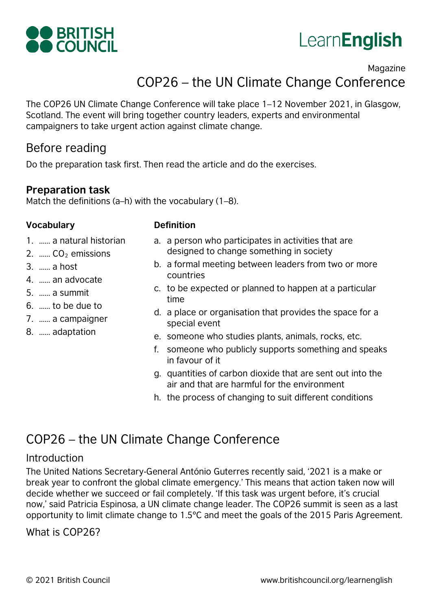



### Magazine COP26 – the UN Climate Change Conference

The COP26 UN Climate Change Conference will take place 1–12 November 2021, in Glasgow, Scotland. The event will bring together country leaders, experts and environmental campaigners to take urgent action against climate change.

### Before reading

Do the preparation task first. Then read the article and do the exercises.

### **Preparation task**

Match the definitions (a–h) with the vocabulary (1–8).

### **Vocabulary Definition**

- 1. …… a natural historian
- 2.  $\ldots$  CO<sub>2</sub> emissions
- 3. …… a host
- 4. …… an advocate
- 5. …… a summit
- 6. …… to be due to
- 7. …… a campaigner
- 8. …… adaptation
- a. a person who participates in activities that are designed to change something in society
- b. a formal meeting between leaders from two or more countries
- c. to be expected or planned to happen at a particular time
- d. a place or organisation that provides the space for a special event
- e. someone who studies plants, animals, rocks, etc.
- f. someone who publicly supports something and speaks in favour of it
- g. quantities of carbon dioxide that are sent out into the air and that are harmful for the environment
- h. the process of changing to suit different conditions

### COP26 – the UN Climate Change Conference

### Introduction

The United Nations Secretary-General António Guterres recently said, '2021 is a make or break year to confront the global climate emergency.' This means that action taken now will decide whether we succeed or fail completely. 'If this task was urgent before, it's crucial now,' said Patricia Espinosa, a UN climate change leader. The COP26 summit is seen as a last opportunity to limit climate change to 1.5ºC and meet the goals of the 2015 Paris Agreement.

### What is COP26?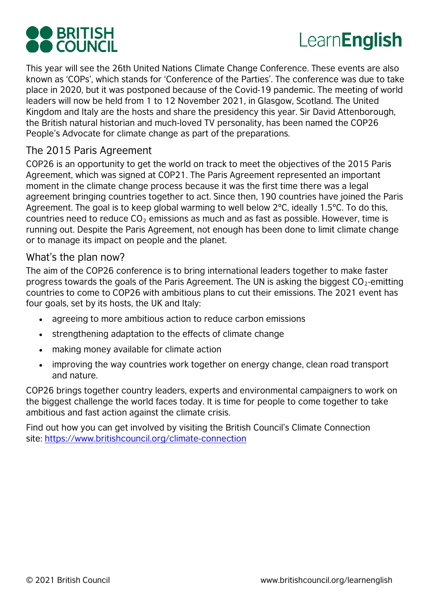# **OO BRITISH<br>OO COUNCIL**

## Learn**English**

This year will see the 26th United Nations Climate Change Conference. These events are also known as 'COPs', which stands for 'Conference of the Parties'. The conference was due to take place in 2020, but it was postponed because of the Covid-19 pandemic. The meeting of world leaders will now be held from 1 to 12 November 2021, in Glasgow, Scotland. The United Kingdom and Italy are the hosts and share the presidency this year. Sir David Attenborough, the British natural historian and much-loved TV personality, has been named the COP26 People's Advocate for climate change as part of the preparations.

### The 2015 Paris Agreement

COP26 is an opportunity to get the world on track to meet the objectives of the 2015 Paris Agreement, which was signed at COP21. The Paris Agreement represented an important moment in the climate change process because it was the first time there was a legal agreement bringing countries together to act. Since then, 190 countries have joined the Paris Agreement. The goal is to keep global warming to well below 2ºC, ideally 1.5ºC. To do this, countries need to reduce  $CO<sub>2</sub>$  emissions as much and as fast as possible. However, time is running out. Despite the Paris Agreement, not enough has been done to limit climate change or to manage its impact on people and the planet.

### What's the plan now?

The aim of the COP26 conference is to bring international leaders together to make faster progress towards the goals of the Paris Agreement. The UN is asking the biggest  $CO<sub>2</sub>$ -emitting countries to come to COP26 with ambitious plans to cut their emissions. The 2021 event has four goals, set by its hosts, the UK and Italy:

- agreeing to more ambitious action to reduce carbon emissions
- strengthening adaptation to the effects of climate change
- making money available for climate action
- improving the way countries work together on energy change, clean road transport and nature.

COP26 brings together country leaders, experts and environmental campaigners to work on the biggest challenge the world faces today. It is time for people to come together to take ambitious and fast action against the climate crisis.

Find out how you can get involved by visiting the British Council's Climate Connection site: <https://www.britishcouncil.org/climate-connection>